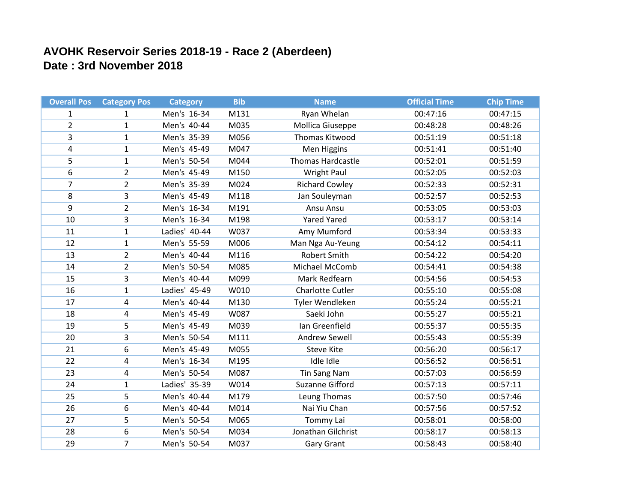## **AVOHK Reservoir Series 2018-19 - Race 2 (Aberdeen) Date : 3rd November 2018**

| <b>Overall Pos</b> | <b>Category Pos</b>     | <b>Category</b> | <b>Bib</b> | <b>Name</b>             | <b>Official Time</b> | <b>Chip Time</b> |
|--------------------|-------------------------|-----------------|------------|-------------------------|----------------------|------------------|
| $\mathbf{1}$       | $\mathbf{1}$            | Men's 16-34     | M131       | Ryan Whelan             | 00:47:16             | 00:47:15         |
| $\overline{2}$     | $\mathbf{1}$            | Men's 40-44     | M035       | <b>Mollica Giuseppe</b> | 00:48:28             | 00:48:26         |
| 3                  | $\mathbf{1}$            | Men's 35-39     | M056       | Thomas Kitwood          | 00:51:19             | 00:51:18         |
| 4                  | $\mathbf{1}$            | Men's 45-49     | M047       | Men Higgins             | 00:51:41             | 00:51:40         |
| 5                  | $\mathbf{1}$            | Men's 50-54     | M044       | Thomas Hardcastle       | 00:52:01             | 00:51:59         |
| 6                  | $\overline{2}$          | Men's 45-49     | M150       | <b>Wright Paul</b>      | 00:52:05             | 00:52:03         |
| $\overline{7}$     | $\overline{2}$          | Men's 35-39     | M024       | <b>Richard Cowley</b>   | 00:52:33             | 00:52:31         |
| 8                  | 3                       | Men's 45-49     | M118       | Jan Souleyman           | 00:52:57             | 00:52:53         |
| 9                  | $\overline{2}$          | Men's 16-34     | M191       | Ansu Ansu               | 00:53:05             | 00:53:03         |
| 10                 | 3                       | Men's 16-34     | M198       | <b>Yared Yared</b>      | 00:53:17             | 00:53:14         |
| 11                 | $\mathbf{1}$            | Ladies' 40-44   | W037       | Amy Mumford             | 00:53:34             | 00:53:33         |
| 12                 | $\mathbf{1}$            | Men's 55-59     | M006       | Man Nga Au-Yeung        | 00:54:12             | 00:54:11         |
| 13                 | $\overline{2}$          | Men's 40-44     | M116       | <b>Robert Smith</b>     | 00:54:22             | 00:54:20         |
| 14                 | $\overline{2}$          | Men's 50-54     | M085       | Michael McComb          | 00:54:41             | 00:54:38         |
| 15                 | 3                       | Men's 40-44     | M099       | Mark Redfearn           | 00:54:56             | 00:54:53         |
| 16                 | 1                       | Ladies' 45-49   | W010       | <b>Charlotte Cutler</b> | 00:55:10             | 00:55:08         |
| 17                 | 4                       | Men's 40-44     | M130       | Tyler Wendleken         | 00:55:24             | 00:55:21         |
| 18                 | $\overline{\mathbf{4}}$ | Men's 45-49     | W087       | Saeki John              | 00:55:27             | 00:55:21         |
| 19                 | 5                       | Men's 45-49     | M039       | Ian Greenfield          | 00:55:37             | 00:55:35         |
| 20                 | 3                       | Men's 50-54     | M111       | Andrew Sewell           | 00:55:43             | 00:55:39         |
| 21                 | 6                       | Men's 45-49     | M055       | <b>Steve Kite</b>       | 00:56:20             | 00:56:17         |
| 22                 | 4                       | Men's 16-34     | M195       | Idle Idle               | 00:56:52             | 00:56:51         |
| 23                 | 4                       | Men's 50-54     | M087       | <b>Tin Sang Nam</b>     | 00:57:03             | 00:56:59         |
| 24                 | $\mathbf{1}$            | Ladies' 35-39   | W014       | Suzanne Gifford         | 00:57:13             | 00:57:11         |
| 25                 | 5                       | Men's 40-44     | M179       | Leung Thomas            | 00:57:50             | 00:57:46         |
| 26                 | 6                       | Men's 40-44     | M014       | Nai Yiu Chan            | 00:57:56             | 00:57:52         |
| 27                 | 5                       | Men's 50-54     | M065       | Tommy Lai               | 00:58:01             | 00:58:00         |
| 28                 | 6                       | Men's 50-54     | M034       | Jonathan Gilchrist      | 00:58:17             | 00:58:13         |
| 29                 | $\overline{7}$          | Men's 50-54     | M037       | <b>Gary Grant</b>       | 00:58:43             | 00:58:40         |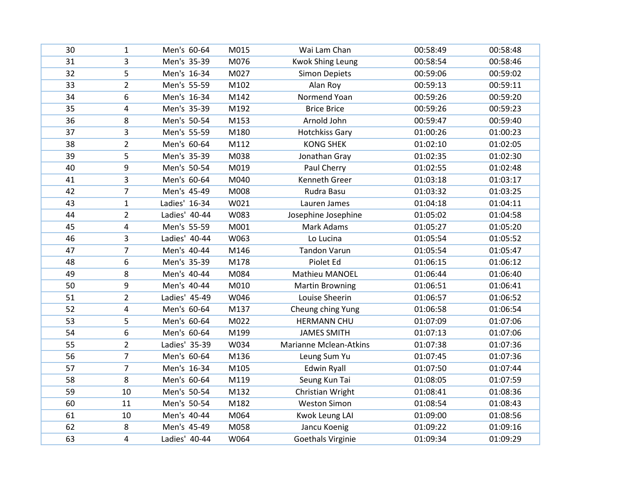| 30 | $\mathbf{1}$   | Men's 60-64   | M015 | Wai Lam Chan                  | 00:58:49 | 00:58:48 |
|----|----------------|---------------|------|-------------------------------|----------|----------|
| 31 | 3              | Men's 35-39   | M076 | <b>Kwok Shing Leung</b>       | 00:58:54 | 00:58:46 |
| 32 | 5              | Men's 16-34   | M027 | <b>Simon Depiets</b>          | 00:59:06 | 00:59:02 |
| 33 | $\overline{2}$ | Men's 55-59   | M102 | Alan Roy                      | 00:59:13 | 00:59:11 |
| 34 | 6              | Men's 16-34   | M142 | Normend Yoan                  | 00:59:26 | 00:59:20 |
| 35 | 4              | Men's 35-39   | M192 | <b>Brice Brice</b>            | 00:59:26 | 00:59:23 |
| 36 | 8              | Men's 50-54   | M153 | Arnold John                   | 00:59:47 | 00:59:40 |
| 37 | 3              | Men's 55-59   | M180 | <b>Hotchkiss Gary</b>         | 01:00:26 | 01:00:23 |
| 38 | $\overline{2}$ | Men's 60-64   | M112 | <b>KONG SHEK</b>              | 01:02:10 | 01:02:05 |
| 39 | 5              | Men's 35-39   | M038 | Jonathan Gray                 | 01:02:35 | 01:02:30 |
| 40 | 9              | Men's 50-54   | M019 | Paul Cherry                   | 01:02:55 | 01:02:48 |
| 41 | 3              | Men's 60-64   | M040 | Kenneth Greer                 | 01:03:18 | 01:03:17 |
| 42 | $\overline{7}$ | Men's 45-49   | M008 | Rudra Basu                    | 01:03:32 | 01:03:25 |
| 43 | $\mathbf{1}$   | Ladies' 16-34 | W021 | Lauren James                  | 01:04:18 | 01:04:11 |
| 44 | $\overline{2}$ | Ladies' 40-44 | W083 | Josephine Josephine           | 01:05:02 | 01:04:58 |
| 45 | 4              | Men's 55-59   | M001 | Mark Adams                    | 01:05:27 | 01:05:20 |
| 46 | 3              | Ladies' 40-44 | W063 | Lo Lucina                     | 01:05:54 | 01:05:52 |
| 47 | $\overline{7}$ | Men's 40-44   | M146 | <b>Tandon Varun</b>           | 01:05:54 | 01:05:47 |
| 48 | 6              | Men's 35-39   | M178 | Piolet Ed                     | 01:06:15 | 01:06:12 |
| 49 | 8              | Men's 40-44   | M084 | Mathieu MANOEL                | 01:06:44 | 01:06:40 |
| 50 | 9              | Men's 40-44   | M010 | <b>Martin Browning</b>        | 01:06:51 | 01:06:41 |
| 51 | $\overline{2}$ | Ladies' 45-49 | W046 | Louise Sheerin                | 01:06:57 | 01:06:52 |
| 52 | 4              | Men's 60-64   | M137 | Cheung ching Yung             | 01:06:58 | 01:06:54 |
| 53 | 5              | Men's 60-64   | M022 | <b>HERMANN CHU</b>            | 01:07:09 | 01:07:06 |
| 54 | 6              | Men's 60-64   | M199 | <b>JAMES SMITH</b>            | 01:07:13 | 01:07:06 |
| 55 | $\overline{2}$ | Ladies' 35-39 | W034 | <b>Marianne Mclean-Atkins</b> | 01:07:38 | 01:07:36 |
| 56 | $\overline{7}$ | Men's 60-64   | M136 | Leung Sum Yu                  | 01:07:45 | 01:07:36 |
| 57 | $\overline{7}$ | Men's 16-34   | M105 | <b>Edwin Ryall</b>            | 01:07:50 | 01:07:44 |
| 58 | 8              | Men's 60-64   | M119 | Seung Kun Tai                 | 01:08:05 | 01:07:59 |
| 59 | 10             | Men's 50-54   | M132 | Christian Wright              | 01:08:41 | 01:08:36 |
| 60 | 11             | Men's 50-54   | M182 | <b>Weston Simon</b>           | 01:08:54 | 01:08:43 |
| 61 | 10             | Men's 40-44   | M064 | Kwok Leung LAI                | 01:09:00 | 01:08:56 |
| 62 | 8              | Men's 45-49   | M058 | Jancu Koenig                  | 01:09:22 | 01:09:16 |
| 63 | 4              | Ladies' 40-44 | W064 | <b>Goethals Virginie</b>      | 01:09:34 | 01:09:29 |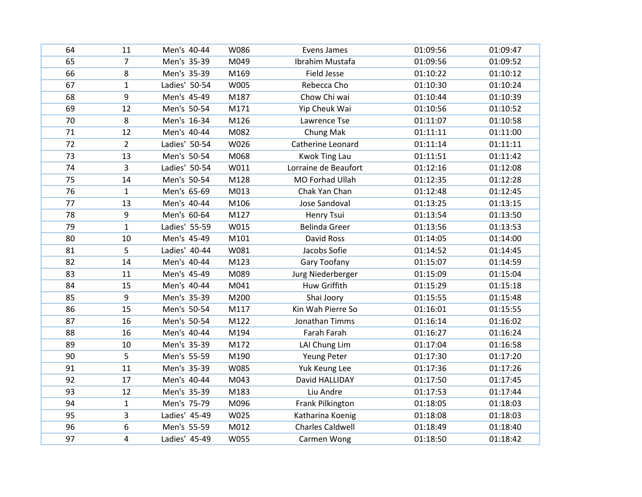| 64 | 11             | Men's 40-44   | W086 | Evens James             | 01:09:56 | 01:09:47 |
|----|----------------|---------------|------|-------------------------|----------|----------|
| 65 | 7              | Men's 35-39   | M049 | Ibrahim Mustafa         | 01:09:56 | 01:09:52 |
| 66 | 8              | Men's 35-39   | M169 | <b>Field Jesse</b>      | 01:10:22 | 01:10:12 |
| 67 | $\mathbf{1}$   | Ladies' 50-54 | W005 | Rebecca Cho             | 01:10:30 | 01:10:24 |
| 68 | 9              | Men's 45-49   | M187 | Chow Chi wai            | 01:10:44 | 01:10:39 |
| 69 | 12             | Men's 50-54   | M171 | Yip Cheuk Wai           | 01:10:56 | 01:10:52 |
| 70 | 8              | Men's 16-34   | M126 | Lawrence Tse            | 01:11:07 | 01:10:58 |
| 71 | 12             | Men's 40-44   | M082 | Chung Mak               | 01:11:11 | 01:11:00 |
| 72 | $\overline{2}$ | Ladies' 50-54 | W026 | Catherine Leonard       | 01:11:14 | 01:11:11 |
| 73 | 13             | Men's 50-54   | M068 | <b>Kwok Ting Lau</b>    | 01:11:51 | 01:11:42 |
| 74 | 3              | Ladies' 50-54 | W011 | Lorraine de Beaufort    | 01:12:16 | 01:12:08 |
| 75 | 14             | Men's 50-54   | M128 | MO Forhad Ullah         | 01:12:35 | 01:12:28 |
| 76 | $\mathbf{1}$   | Men's 65-69   | M013 | Chak Yan Chan           | 01:12:48 | 01:12:45 |
| 77 | 13             | Men's 40-44   | M106 | Jose Sandoval           | 01:13:25 | 01:13:15 |
| 78 | 9              | Men's 60-64   | M127 | Henry Tsui              | 01:13:54 | 01:13:50 |
| 79 | $\mathbf{1}$   | Ladies' 55-59 | W015 | <b>Belinda Greer</b>    | 01:13:56 | 01:13:53 |
| 80 | 10             | Men's 45-49   | M101 | David Ross              | 01:14:05 | 01:14:00 |
| 81 | 5              | Ladies' 40-44 | W081 | Jacobs Sofie            | 01:14:52 | 01:14:45 |
| 82 | 14             | Men's 40-44   | M123 | Gary Toofany            | 01:15:07 | 01:14:59 |
| 83 | 11             | Men's 45-49   | M089 | Jurg Niederberger       | 01:15:09 | 01:15:04 |
| 84 | 15             | Men's 40-44   | M041 | Huw Griffith            | 01:15:29 | 01:15:18 |
| 85 | 9              | Men's 35-39   | M200 | Shai Joory              | 01:15:55 | 01:15:48 |
| 86 | 15             | Men's 50-54   | M117 | Kin Wah Pierre So       | 01:16:01 | 01:15:55 |
| 87 | 16             | Men's 50-54   | M122 | Jonathan Timms          | 01:16:14 | 01:16:02 |
| 88 | 16             | Men's 40-44   | M194 | Farah Farah             | 01:16:27 | 01:16:24 |
| 89 | 10             | Men's 35-39   | M172 | LAI Chung Lim           | 01:17:04 | 01:16:58 |
| 90 | 5              | Men's 55-59   | M190 | Yeung Peter             | 01:17:30 | 01:17:20 |
| 91 | 11             | Men's 35-39   | W085 | Yuk Keung Lee           | 01:17:36 | 01:17:26 |
| 92 | 17             | Men's 40-44   | M043 | David HALLIDAY          | 01:17:50 | 01:17:45 |
| 93 | 12             | Men's 35-39   | M183 | Liu Andre               | 01:17:53 | 01:17:44 |
| 94 | $\mathbf{1}$   | Men's 75-79   | M096 | Frank Pilkington        | 01:18:05 | 01:18:03 |
| 95 | 3              | Ladies' 45-49 | W025 | Katharina Koenig        | 01:18:08 | 01:18:03 |
| 96 | 6              | Men's 55-59   | M012 | <b>Charles Caldwell</b> | 01:18:49 | 01:18:40 |
| 97 | 4              | Ladies' 45-49 | W055 | Carmen Wong             | 01:18:50 | 01:18:42 |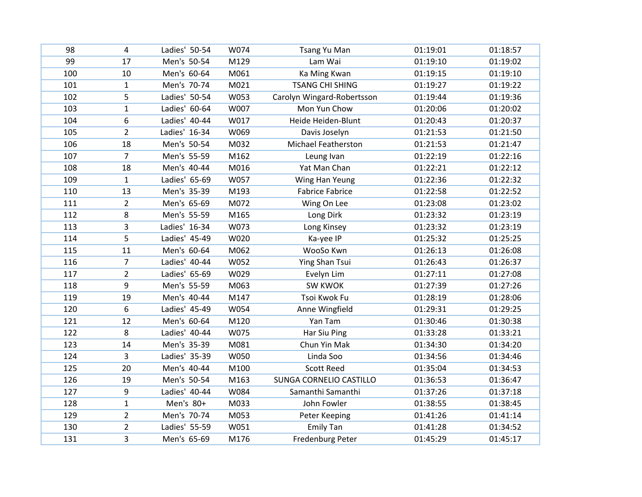| 98  | 4              | Ladies' 50-54 | W074 | <b>Tsang Yu Man</b>        | 01:19:01 | 01:18:57 |
|-----|----------------|---------------|------|----------------------------|----------|----------|
| 99  | 17             | Men's 50-54   | M129 | Lam Wai                    | 01:19:10 | 01:19:02 |
| 100 | 10             | Men's 60-64   | M061 | Ka Ming Kwan               | 01:19:15 | 01:19:10 |
| 101 | $\mathbf{1}$   | Men's 70-74   | M021 | <b>TSANG CHI SHING</b>     | 01:19:27 | 01:19:22 |
| 102 | 5              | Ladies' 50-54 | W053 | Carolyn Wingard-Robertsson | 01:19:44 | 01:19:36 |
| 103 | $\mathbf{1}$   | Ladies' 60-64 | W007 | Mon Yun Chow               | 01:20:06 | 01:20:02 |
| 104 | 6              | Ladies' 40-44 | W017 | Heide Heiden-Blunt         | 01:20:43 | 01:20:37 |
| 105 | $\overline{2}$ | Ladies' 16-34 | W069 | Davis Joselyn              | 01:21:53 | 01:21:50 |
| 106 | 18             | Men's 50-54   | M032 | <b>Michael Featherston</b> | 01:21:53 | 01:21:47 |
| 107 | $\overline{7}$ | Men's 55-59   | M162 | Leung Ivan                 | 01:22:19 | 01:22:16 |
| 108 | 18             | Men's 40-44   | M016 | Yat Man Chan               | 01:22:21 | 01:22:12 |
| 109 | $\mathbf{1}$   | Ladies' 65-69 | W057 | Wing Han Yeung             | 01:22:36 | 01:22:32 |
| 110 | 13             | Men's 35-39   | M193 | <b>Fabrice Fabrice</b>     | 01:22:58 | 01:22:52 |
| 111 | $\overline{2}$ | Men's 65-69   | M072 | Wing On Lee                | 01:23:08 | 01:23:02 |
| 112 | 8              | Men's 55-59   | M165 | Long Dirk                  | 01:23:32 | 01:23:19 |
| 113 | 3              | Ladies' 16-34 | W073 | Long Kinsey                | 01:23:32 | 01:23:19 |
| 114 | 5              | Ladies' 45-49 | W020 | Ka-yee IP                  | 01:25:32 | 01:25:25 |
| 115 | 11             | Men's 60-64   | M062 | WooSo Kwn                  | 01:26:13 | 01:26:08 |
| 116 | $\overline{7}$ | Ladies' 40-44 | W052 | Ying Shan Tsui             | 01:26:43 | 01:26:37 |
| 117 | $\overline{2}$ | Ladies' 65-69 | W029 | Evelyn Lim                 | 01:27:11 | 01:27:08 |
| 118 | 9              | Men's 55-59   | M063 | SW KWOK                    | 01:27:39 | 01:27:26 |
| 119 | 19             | Men's 40-44   | M147 | Tsoi Kwok Fu               | 01:28:19 | 01:28:06 |
| 120 | 6              | Ladies' 45-49 | W054 | Anne Wingfield             | 01:29:31 | 01:29:25 |
| 121 | 12             | Men's 60-64   | M120 | Yan Tam                    | 01:30:46 | 01:30:38 |
| 122 | 8              | Ladies' 40-44 | W075 | Har Siu Ping               | 01:33:28 | 01:33:21 |
| 123 | 14             | Men's 35-39   | M081 | Chun Yin Mak               | 01:34:30 | 01:34:20 |
| 124 | 3              | Ladies' 35-39 | W050 | Linda Soo                  | 01:34:56 | 01:34:46 |
| 125 | 20             | Men's 40-44   | M100 | <b>Scott Reed</b>          | 01:35:04 | 01:34:53 |
| 126 | 19             | Men's 50-54   | M163 | SUNGA CORNELIO CASTILLO    | 01:36:53 | 01:36:47 |
| 127 | 9              | Ladies' 40-44 | W084 | Samanthi Samanthi          | 01:37:26 | 01:37:18 |
| 128 | $\mathbf{1}$   | Men's 80+     | M033 | John Fowler                | 01:38:55 | 01:38:45 |
| 129 | $\overline{2}$ | Men's 70-74   | M053 | Peter Keeping              | 01:41:26 | 01:41:14 |
| 130 | $\overline{2}$ | Ladies' 55-59 | W051 | <b>Emily Tan</b>           | 01:41:28 | 01:34:52 |
| 131 | 3              | Men's 65-69   | M176 | <b>Fredenburg Peter</b>    | 01:45:29 | 01:45:17 |